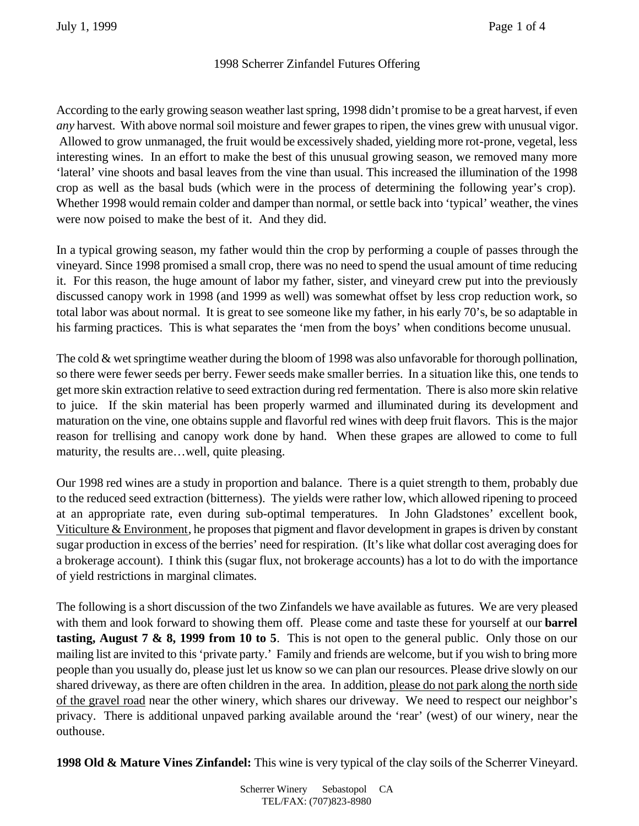## 1998 Scherrer Zinfandel Futures Offering

According to the early growing season weather last spring, 1998 didn't promise to be a great harvest, if even *any* harvest. With above normal soil moisture and fewer grapes to ripen, the vines grew with unusual vigor. Allowed to grow unmanaged, the fruit would be excessively shaded, yielding more rot-prone, vegetal, less interesting wines. In an effort to make the best of this unusual growing season, we removed many more 'lateral' vine shoots and basal leaves from the vine than usual. This increased the illumination of the 1998 crop as well as the basal buds (which were in the process of determining the following year's crop). Whether 1998 would remain colder and damper than normal, or settle back into 'typical' weather, the vines were now poised to make the best of it. And they did.

In a typical growing season, my father would thin the crop by performing a couple of passes through the vineyard. Since 1998 promised a small crop, there was no need to spend the usual amount of time reducing it. For this reason, the huge amount of labor my father, sister, and vineyard crew put into the previously discussed canopy work in 1998 (and 1999 as well) was somewhat offset by less crop reduction work, so total labor was about normal. It is great to see someone like my father, in his early 70's, be so adaptable in his farming practices. This is what separates the 'men from the boys' when conditions become unusual.

The cold & wet springtime weather during the bloom of 1998 was also unfavorable for thorough pollination, so there were fewer seeds per berry. Fewer seeds make smaller berries. In a situation like this, one tends to get more skin extraction relative to seed extraction during red fermentation. There is also more skin relative to juice. If the skin material has been properly warmed and illuminated during its development and maturation on the vine, one obtains supple and flavorful red wines with deep fruit flavors. This is the major reason for trellising and canopy work done by hand. When these grapes are allowed to come to full maturity, the results are…well, quite pleasing.

Our 1998 red wines are a study in proportion and balance. There is a quiet strength to them, probably due to the reduced seed extraction (bitterness). The yields were rather low, which allowed ripening to proceed at an appropriate rate, even during sub-optimal temperatures. In John Gladstones' excellent book, Viticulture & Environment, he proposes that pigment and flavor development in grapes is driven by constant sugar production in excess of the berries' need for respiration. (It's like what dollar cost averaging does for a brokerage account). I think this (sugar flux, not brokerage accounts) has a lot to do with the importance of yield restrictions in marginal climates.

The following is a short discussion of the two Zinfandels we have available as futures. We are very pleased with them and look forward to showing them off. Please come and taste these for yourself at our **barrel tasting, August 7 & 8, 1999 from 10 to 5**. This is not open to the general public. Only those on our mailing list are invited to this 'private party.' Family and friends are welcome, but if you wish to bring more people than you usually do, please just let us know so we can plan our resources. Please drive slowly on our shared driveway, as there are often children in the area. In addition, please do not park along the north side of the gravel road near the other winery, which shares our driveway. We need to respect our neighbor's privacy. There is additional unpaved parking available around the 'rear' (west) of our winery, near the outhouse.

**1998 Old & Mature Vines Zinfandel:** This wine is very typical of the clay soils of the Scherrer Vineyard.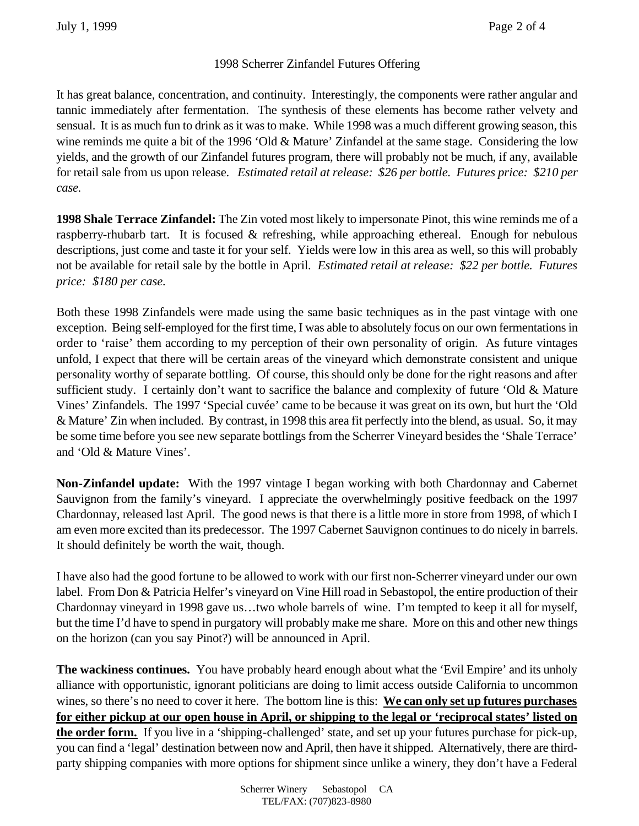## 1998 Scherrer Zinfandel Futures Offering

It has great balance, concentration, and continuity. Interestingly, the components were rather angular and tannic immediately after fermentation. The synthesis of these elements has become rather velvety and sensual. It is as much fun to drink as it was to make. While 1998 was a much different growing season, this wine reminds me quite a bit of the 1996 'Old & Mature' Zinfandel at the same stage. Considering the low yields, and the growth of our Zinfandel futures program, there will probably not be much, if any, available for retail sale from us upon release. *Estimated retail at release: \$26 per bottle. Futures price: \$210 per case.*

**1998 Shale Terrace Zinfandel:** The Zin voted most likely to impersonate Pinot, this wine reminds me of a raspberry-rhubarb tart. It is focused & refreshing, while approaching ethereal. Enough for nebulous descriptions, just come and taste it for your self. Yields were low in this area as well, so this will probably not be available for retail sale by the bottle in April. *Estimated retail at release: \$22 per bottle. Futures price: \$180 per case.*

Both these 1998 Zinfandels were made using the same basic techniques as in the past vintage with one exception. Being self-employed for the first time, I was able to absolutely focus on our own fermentations in order to 'raise' them according to my perception of their own personality of origin. As future vintages unfold, I expect that there will be certain areas of the vineyard which demonstrate consistent and unique personality worthy of separate bottling. Of course, this should only be done for the right reasons and after sufficient study. I certainly don't want to sacrifice the balance and complexity of future 'Old & Mature Vines' Zinfandels. The 1997 'Special cuvée' came to be because it was great on its own, but hurt the 'Old & Mature' Zin when included. By contrast, in 1998 this area fit perfectly into the blend, as usual. So, it may be some time before you see new separate bottlings from the Scherrer Vineyard besides the 'Shale Terrace' and 'Old & Mature Vines'.

**Non-Zinfandel update:** With the 1997 vintage I began working with both Chardonnay and Cabernet Sauvignon from the family's vineyard. I appreciate the overwhelmingly positive feedback on the 1997 Chardonnay, released last April. The good news is that there is a little more in store from 1998, of which I am even more excited than its predecessor. The 1997 Cabernet Sauvignon continues to do nicely in barrels. It should definitely be worth the wait, though.

I have also had the good fortune to be allowed to work with our first non-Scherrer vineyard under our own label. From Don & Patricia Helfer's vineyard on Vine Hill road in Sebastopol, the entire production of their Chardonnay vineyard in 1998 gave us…two whole barrels of wine. I'm tempted to keep it all for myself, but the time I'd have to spend in purgatory will probably make me share. More on this and other new things on the horizon (can you say Pinot?) will be announced in April.

**The wackiness continues.** You have probably heard enough about what the 'Evil Empire' and its unholy alliance with opportunistic, ignorant politicians are doing to limit access outside California to uncommon wines, so there's no need to cover it here. The bottom line is this: **We can only set up futures purchases for either pickup at our open house in April, or shipping to the legal or 'reciprocal states' listed on the order form.** If you live in a 'shipping-challenged' state, and set up your futures purchase for pick-up, you can find a 'legal' destination between now and April, then have it shipped. Alternatively, there are thirdparty shipping companies with more options for shipment since unlike a winery, they don't have a Federal